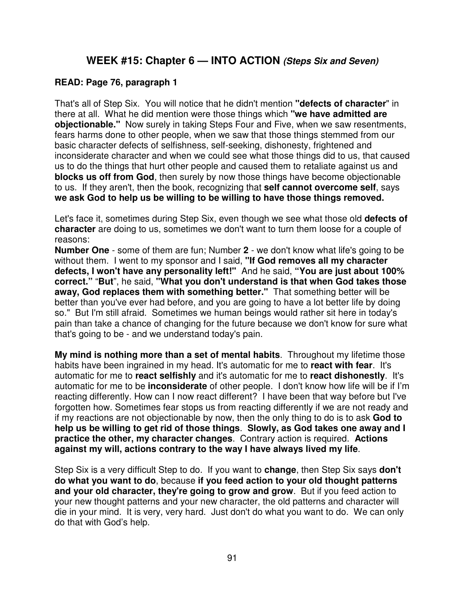#### **WEEK #15: Chapter 6 — INTO ACTION (Steps Six and Seven)**

#### **READ: Page 76, paragraph 1**

That's all of Step Six. You will notice that he didn't mention **"defects of character**" in there at all. What he did mention were those things which **"we have admitted are objectionable."** Now surely in taking Steps Four and Five, when we saw resentments, fears harms done to other people, when we saw that those things stemmed from our basic character defects of selfishness, self-seeking, dishonesty, frightened and inconsiderate character and when we could see what those things did to us, that caused us to do the things that hurt other people and caused them to retaliate against us and **blocks us off from God**, then surely by now those things have become objectionable to us. If they aren't, then the book, recognizing that **self cannot overcome self**, says **we ask God to help us be willing to be willing to have those things removed.**

Let's face it, sometimes during Step Six, even though we see what those old **defects of character** are doing to us, sometimes we don't want to turn them loose for a couple of reasons:

**Number One** - some of them are fun; Number **2** - we don't know what life's going to be without them. I went to my sponsor and I said, **"If God removes all my character defects, I won't have any personality left!"** And he said, **"You are just about 100% correct."** "**But**", he said, **"What you don't understand is that when God takes those away, God replaces them with something better."** That something better will be better than you've ever had before, and you are going to have a lot better life by doing so." But I'm still afraid. Sometimes we human beings would rather sit here in today's pain than take a chance of changing for the future because we don't know for sure what that's going to be - and we understand today's pain.

**My mind is nothing more than a set of mental habits**. Throughout my lifetime those habits have been ingrained in my head. It's automatic for me to **react with fear**. It's automatic for me to **react selfishly** and it's automatic for me to **react dishonestly**. It's automatic for me to be **inconsiderate** of other people. I don't know how life will be if I'm reacting differently. How can I now react different? I have been that way before but I've forgotten how. Sometimes fear stops us from reacting differently if we are not ready and if my reactions are not objectionable by now, then the only thing to do is to ask **God to help us be willing to get rid of those things**. **Slowly, as God takes one away and I practice the other, my character changes**. Contrary action is required. **Actions against my will, actions contrary to the way I have always lived my life**.

Step Six is a very difficult Step to do. If you want to **change**, then Step Six says **don't do what you want to do**, because **if you feed action to your old thought patterns and your old character, they're going to grow and grow**. But if you feed action to your new thought patterns and your new character, the old patterns and character will die in your mind. It is very, very hard. Just don't do what you want to do. We can only do that with God's help.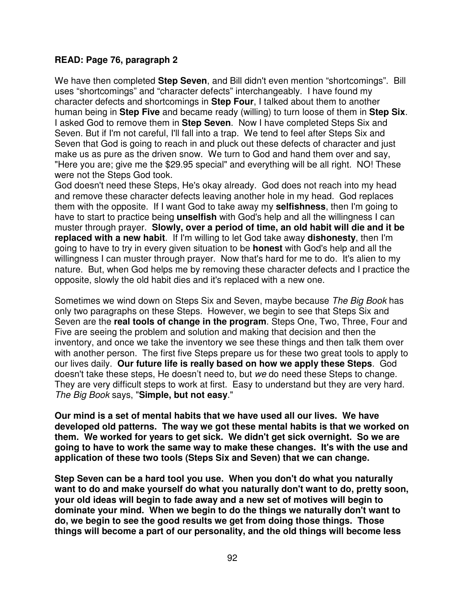#### **READ: Page 76, paragraph 2**

We have then completed **Step Seven**, and Bill didn't even mention "shortcomings". Bill uses "shortcomings" and "character defects" interchangeably. I have found my character defects and shortcomings in **Step Four**, I talked about them to another human being in **Step Five** and became ready (willing) to turn loose of them in **Step Six**. I asked God to remove them in **Step Seven**. Now I have completed Steps Six and Seven. But if I'm not careful, I'll fall into a trap. We tend to feel after Steps Six and Seven that God is going to reach in and pluck out these defects of character and just make us as pure as the driven snow. We turn to God and hand them over and say, "Here you are; give me the \$29.95 special" and everything will be all right. NO! These were not the Steps God took.

God doesn't need these Steps, He's okay already. God does not reach into my head and remove these character defects leaving another hole in my head. God replaces them with the opposite. If I want God to take away my **selfishness**, then I'm going to have to start to practice being **unselfish** with God's help and all the willingness I can muster through prayer. **Slowly, over a period of time, an old habit will die and it be replaced with a new habit**. If I'm willing to let God take away **dishonesty**, then I'm going to have to try in every given situation to be **honest** with God's help and all the willingness I can muster through prayer. Now that's hard for me to do. It's alien to my nature. But, when God helps me by removing these character defects and I practice the opposite, slowly the old habit dies and it's replaced with a new one.

Sometimes we wind down on Steps Six and Seven, maybe because The Big Book has only two paragraphs on these Steps. However, we begin to see that Steps Six and Seven are the **real tools of change in the program**. Steps One, Two, Three, Four and Five are seeing the problem and solution and making that decision and then the inventory, and once we take the inventory we see these things and then talk them over with another person. The first five Steps prepare us for these two great tools to apply to our lives daily. **Our future life is really based on how we apply these Steps**. God doesn't take these steps, He doesn't need to, but we do need these Steps to change. They are very difficult steps to work at first. Easy to understand but they are very hard. The Big Book says, "**Simple, but not easy**."

**Our mind is a set of mental habits that we have used all our lives. We have developed old patterns. The way we got these mental habits is that we worked on them. We worked for years to get sick. We didn't get sick overnight. So we are going to have to work the same way to make these changes. It's with the use and application of these two tools (Steps Six and Seven) that we can change.** 

**Step Seven can be a hard tool you use. When you don't do what you naturally want to do and make yourself do what you naturally don't want to do, pretty soon, your old ideas will begin to fade away and a new set of motives will begin to dominate your mind. When we begin to do the things we naturally don't want to do, we begin to see the good results we get from doing those things. Those things will become a part of our personality, and the old things will become less**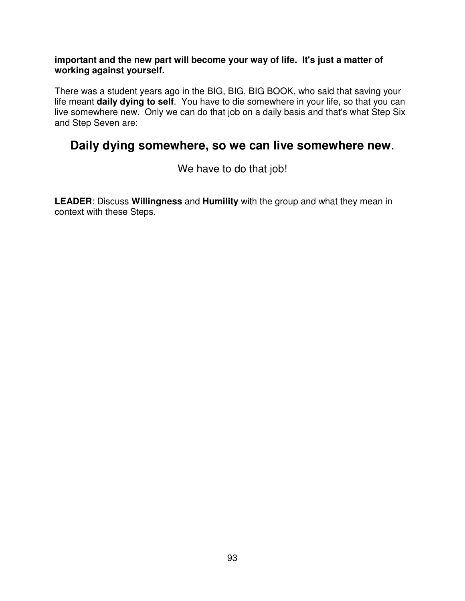#### **important and the new part will become your way of life. It's just a matter of working against yourself.**

There was a student years ago in the BIG, BIG, BIG BOOK, who said that saving your life meant **daily dying to self**. You have to die somewhere in your life, so that you can live somewhere new. Only we can do that job on a daily basis and that's what Step Six and Step Seven are:

### **Daily dying somewhere, so we can live somewhere new**.

We have to do that job!

**LEADER**: Discuss **Willingness** and **Humility** with the group and what they mean in context with these Steps.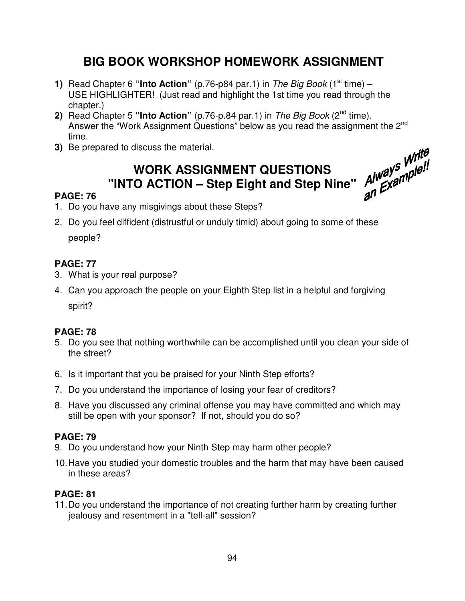## **BIG BOOK WORKSHOP HOMEWORK ASSIGNMENT**

- **1)** Read Chapter 6 "**Into Action**" (p.76-p84 par.1) in The Big Book (1<sup>st</sup> time) USE HIGHLIGHTER! (Just read and highlight the 1st time you read through the chapter.)
- **2)** Read Chapter 5 "Into Action" (p.76-p.84 par.1) in The Big Book (2<sup>nd</sup> time). Answer the "Work Assignment Questions" below as you read the assignment the 2<sup>nd</sup> time.
- **3)** Be prepared to discuss the material.

# **WORK ASSIGNMENT QUESTIONS**  Write<br>"INTO ACTION – Step Eight and Step Nine" Always Mile!!<br>"INTO ACTION – Step Eight and Step Nine" Always Mile!"

#### **PAGE: 76**

- 1. Do you have any misgivings about these Steps?
- 2. Do you feel diffident (distrustful or unduly timid) about going to some of these people?

#### **PAGE: 77**

- 3. What is your real purpose?
- 4. Can you approach the people on your Eighth Step list in a helpful and forgiving spirit?

#### **PAGE: 78**

- 5. Do you see that nothing worthwhile can be accomplished until you clean your side of the street?
- 6. Is it important that you be praised for your Ninth Step efforts?
- 7. Do you understand the importance of losing your fear of creditors?
- 8. Have you discussed any criminal offense you may have committed and which may still be open with your sponsor? If not, should you do so?

#### **PAGE: 79**

- 9. Do you understand how your Ninth Step may harm other people?
- 10. Have you studied your domestic troubles and the harm that may have been caused in these areas?

#### **PAGE: 81**

11. Do you understand the importance of not creating further harm by creating further jealousy and resentment in a "tell-all" session?